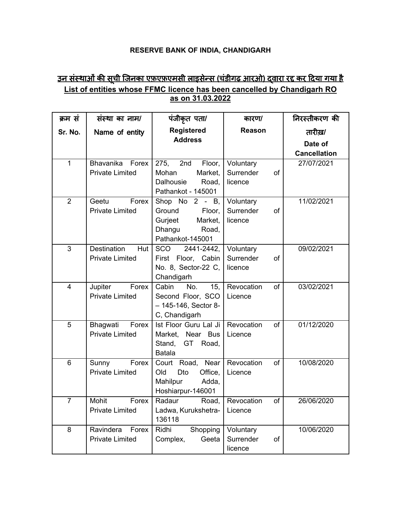## **RESERVE BANK OF INDIA, CHANDIGARH**

## <u>उन संस्थाओं की सूची जिनका एफ़एफ़एमसी लाइसेन्स (चंडीगढ़ आरओ) द्वारा रद्द कर दिया गया है</u> **List of entities whose FFMC licence has been cancelled by Chandigarh RO as on 31.03.2022**

| क्रम सं        | संस्था का नाम/                               | पंजीकृत पता/                           | कारण/                               | निरस्तीकरण की       |
|----------------|----------------------------------------------|----------------------------------------|-------------------------------------|---------------------|
| Sr. No.        | Name of entity                               | <b>Registered</b>                      | <b>Reason</b>                       | तारीख़/             |
|                |                                              | <b>Address</b>                         |                                     | Date of             |
|                |                                              |                                        |                                     | <b>Cancellation</b> |
| $\mathbf{1}$   | Bhavanika Forex                              | 275, 2nd<br>Floor,                     | Voluntary                           | 27/07/2021          |
|                | <b>Private Limited</b>                       | Market,<br>Mohan                       | Surrender<br>of                     |                     |
|                |                                              | <b>Dalhousie</b><br>Road,              | licence                             |                     |
|                |                                              | Pathankot - 145001                     |                                     |                     |
| $\overline{2}$ | Forex<br>Geetu                               | Shop No $2 - B$ ,                      | Voluntary                           | 11/02/2021          |
|                | <b>Private Limited</b>                       | Ground<br>Floor,                       | Surrender<br>of                     |                     |
|                |                                              | Gurjeet<br>Market,                     | licence                             |                     |
|                |                                              | Dhangu<br>Road,<br>Pathankot-145001    |                                     |                     |
| 3              | Destination<br>Hut                           | SCO 2441-2442,                         | Voluntary                           | 09/02/2021          |
|                | <b>Private Limited</b>                       | First Floor, Cabin                     | Surrender<br>of                     |                     |
|                |                                              | No. 8, Sector-22 C,                    | licence                             |                     |
|                |                                              | Chandigarh                             |                                     |                     |
| $\overline{4}$ | Forex<br>Jupiter                             | Cabin<br>No.<br>15,                    | Revocation<br>of                    | 03/02/2021          |
|                | <b>Private Limited</b>                       | Second Floor, SCO                      | Licence                             |                     |
|                |                                              | $-145-146$ , Sector 8-                 |                                     |                     |
|                |                                              | C, Chandigarh                          |                                     |                     |
| 5              | Bhagwati<br>Forex                            | Ist Floor Guru Lal Ji                  | Revocation<br>of                    | 01/12/2020          |
|                | <b>Private Limited</b>                       | Market, Near Bus                       | Licence                             |                     |
|                |                                              | Stand,<br>GT<br>Road,                  |                                     |                     |
|                |                                              | <b>Batala</b>                          |                                     |                     |
| 6              | Forex<br>Sunny                               | Road, Near<br>Court                    | Revocation<br>of                    | 10/08/2020          |
|                | <b>Private Limited</b>                       | Office,<br>Old<br>Dto                  | Licence                             |                     |
|                |                                              | Mahilpur<br>Adda,                      |                                     |                     |
|                |                                              | Hoshiarpur-146001                      |                                     |                     |
| 7              | Mohit<br>Forex                               | Radaur                                 | Road, Revocation<br>$\overline{of}$ | 26/06/2020          |
|                | <b>Private Limited</b>                       | Ladwa, Kurukshetra-<br>136118          | Licence                             |                     |
| 8              |                                              |                                        |                                     |                     |
|                |                                              |                                        |                                     |                     |
|                | Ravindera<br>Forex<br><b>Private Limited</b> | Ridhi<br>Shopping<br>Complex,<br>Geeta | Voluntary<br>Surrender<br>of        | 10/06/2020          |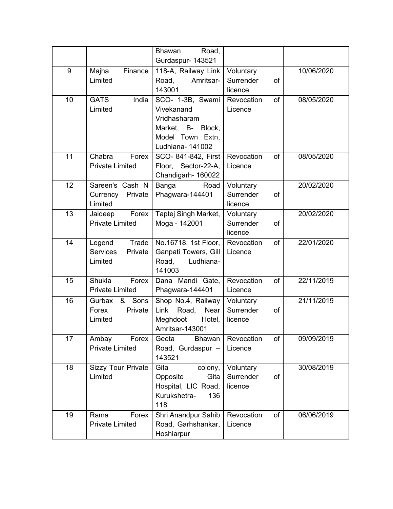|    |                                                    | <b>Bhawan</b><br>Road,<br>Gurdaspur- 143521                                                                 |                                         |            |
|----|----------------------------------------------------|-------------------------------------------------------------------------------------------------------------|-----------------------------------------|------------|
| 9  | Majha<br>Finance<br>Limited                        | 118-A, Railway Link<br>Amritsar-<br>Road,<br>143001                                                         | Voluntary<br>Surrender<br>of<br>licence | 10/06/2020 |
| 10 | India<br><b>GATS</b><br>Limited                    | SCO- 1-3B, Swami<br>Vivekanand<br>Vridhasharam<br>Market, B- Block,<br>Model Town Extn,<br>Ludhiana- 141002 | of<br>Revocation<br>Licence             | 08/05/2020 |
| 11 | Chabra<br>Forex<br><b>Private Limited</b>          | SCO- 841-842, First<br>Floor, Sector-22-A,<br>Chandigarh- 160022                                            | Revocation<br>of<br>Licence             | 08/05/2020 |
| 12 | Sareen's Cash N<br>Private<br>Currency<br>Limited  | Banga<br>Road<br>Phagwara-144401                                                                            | Voluntary<br>Surrender<br>of<br>licence | 20/02/2020 |
| 13 | Forex<br>Jaideep<br><b>Private Limited</b>         | Taptej Singh Market,<br>Moga - 142001                                                                       | Voluntary<br>Surrender<br>of<br>licence | 20/02/2020 |
| 14 | Trade<br>Legend<br>Services<br>Private<br>Limited  | No.16718, 1st Floor,<br>Ganpati Towers, Gill<br>Road,<br>Ludhiana-<br>141003                                | of<br>Revocation<br>Licence             | 22/01/2020 |
| 15 | Shukla<br>Forex<br><b>Private Limited</b>          | Dana Mandi Gate,<br>Phagwara-144401                                                                         | Revocation<br>of<br>Licence             | 22/11/2019 |
| 16 | Sons<br>Gurbax<br>&<br>Private<br>Forex<br>Limited | Shop No.4, Railway<br>Link<br>Road, Near<br>Meghdoot<br>Hotel,<br>Amritsar-143001                           | Voluntary<br>Surrender<br>of<br>licence | 21/11/2019 |
| 17 | Ambay<br>Forex<br><b>Private Limited</b>           | Geeta<br><b>Bhawan</b><br>Road, Gurdaspur -<br>143521                                                       | of<br>Revocation<br>Licence             | 09/09/2019 |
| 18 | <b>Sizzy Tour Private</b><br>Limited               | Gita<br>colony,<br>Opposite<br>Gita<br>Hospital, LIC Road,<br>Kurukshetra-<br>136<br>118                    | Voluntary<br>Surrender<br>of<br>licence | 30/08/2019 |
| 19 | Rama<br>Forex<br><b>Private Limited</b>            | Shri Anandpur Sahib<br>Road, Garhshankar,<br>Hoshiarpur                                                     | Revocation<br>of<br>Licence             | 06/06/2019 |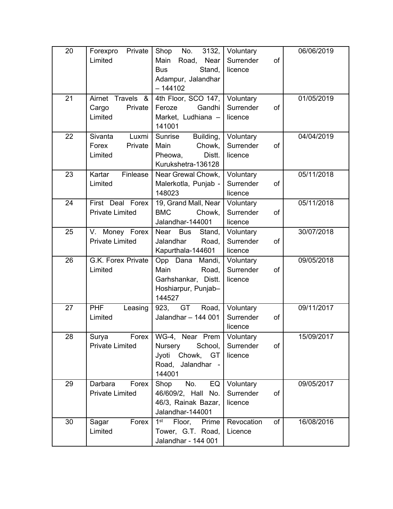| 20 | Private<br>Forexpro<br>Limited                  | Shop<br>No.<br>3132,<br>Main<br>Road,<br>Near<br><b>Bus</b><br>Stand,<br>Adampur, Jalandhar<br>$-144102$ | Voluntary<br>Surrender<br>of<br>licence | 06/06/2019 |
|----|-------------------------------------------------|----------------------------------------------------------------------------------------------------------|-----------------------------------------|------------|
| 21 | Airnet Travels &<br>Private<br>Cargo<br>Limited | 4th Floor, SCO 147,<br>Feroze<br>Gandhi<br>Market, Ludhiana -<br>141001                                  | Voluntary<br>Surrender<br>of<br>licence | 01/05/2019 |
| 22 | Sivanta<br>Luxmi<br>Forex<br>Private<br>Limited | Sunrise<br>Building,<br>Chowk,<br>Main<br>Pheowa,<br>Distt.<br>Kurukshetra-136128                        | Voluntary<br>Surrender<br>of<br>licence | 04/04/2019 |
| 23 | Kartar<br>Finlease<br>Limited                   | Near Grewal Chowk,<br>Malerkotla, Punjab -<br>148023                                                     | Voluntary<br>Surrender<br>of<br>licence | 05/11/2018 |
| 24 | First Deal Forex<br><b>Private Limited</b>      | 19, Grand Mall, Near<br><b>BMC</b><br>Chowk,<br>Jalandhar-144001                                         | Voluntary<br>Surrender<br>of<br>licence | 05/11/2018 |
| 25 | Money Forex<br>V.<br><b>Private Limited</b>     | Near<br><b>Bus</b><br>Stand,<br>Jalandhar<br>Road,<br>Kapurthala-144601                                  | Voluntary<br>Surrender<br>of<br>licence | 30/07/2018 |
| 26 | G.K. Forex Private<br>Limited                   | Opp Dana Mandi,<br>Main<br>Road,<br>Garhshankar, Distt.<br>Hoshiarpur, Punjab-<br>144527                 | Voluntary<br>Surrender<br>of<br>licence | 09/05/2018 |
| 27 | <b>PHF</b><br>Leasing<br>Limited                | 923, GT Road,<br>Jalandhar - 144 001                                                                     | Voluntary<br>Surrender<br>of<br>licence | 09/11/2017 |
| 28 | Surya<br>Forex<br><b>Private Limited</b>        | WG-4, Near Prem   Voluntary<br>Nursery<br>School,<br>Jyoti Chowk, GT<br>Road, Jalandhar -<br>144001      | Surrender<br>of<br>licence              | 15/09/2017 |
| 29 | Darbara<br>Forex<br><b>Private Limited</b>      | No.<br>Shop<br>EQ<br>46/609/2, Hall No.<br>46/3, Rainak Bazar,<br>Jalandhar-144001                       | Voluntary<br>Surrender<br>of<br>licence | 09/05/2017 |
| 30 | Forex<br>Sagar<br>Limited                       | 1 <sup>st</sup><br>Floor,<br>Prime<br>Tower, G.T. Road,<br>Jalandhar - 144 001                           | Revocation<br>of<br>Licence             | 16/08/2016 |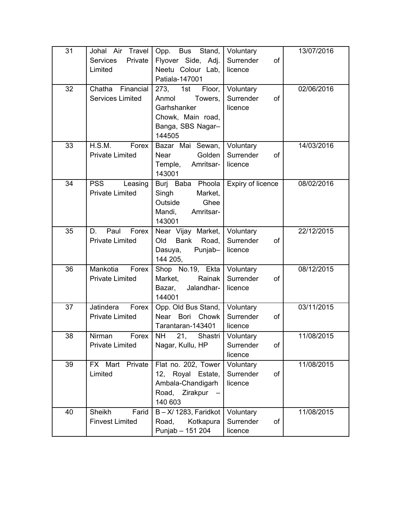| 31 | Johal Air Travel<br>Private<br><b>Services</b>  | Stand,<br>Opp. Bus<br>Flyover Side, Adj.                                                                     | Voluntary<br>Surrender<br>of            | 13/07/2016 |
|----|-------------------------------------------------|--------------------------------------------------------------------------------------------------------------|-----------------------------------------|------------|
|    | Limited                                         | Neetu Colour Lab,<br>Patiala-147001                                                                          | licence                                 |            |
| 32 | Chatha<br>Financial<br><b>Services Limited</b>  | 273,<br>1st<br>Floor,<br>Towers,<br>Anmol<br>Garhshanker<br>Chowk, Main road,<br>Banga, SBS Nagar-<br>144505 | Voluntary<br>Surrender<br>of<br>licence | 02/06/2016 |
| 33 | H.S.M.<br>Forex<br><b>Private Limited</b>       | Bazar Mai Sewan,<br>Golden<br><b>Near</b><br>Temple,<br>Amritsar-<br>143001                                  | Voluntary<br>Surrender<br>of<br>licence | 14/03/2016 |
| 34 | <b>PSS</b><br>Leasing<br><b>Private Limited</b> | Burj Baba Phoola<br>Singh<br>Market,<br>Outside<br>Ghee<br>Amritsar-<br>Mandi,<br>143001                     | Expiry of licence                       | 08/02/2016 |
| 35 | Paul<br>Forex<br>D.<br><b>Private Limited</b>   | Near Vijay Market,<br><b>Old</b><br>Bank<br>Road,<br>Punjab-<br>Dasuya,<br>144 205,                          | Voluntary<br>Surrender<br>of<br>licence | 22/12/2015 |
| 36 | Mankotia<br>Forex<br><b>Private Limited</b>     | Shop No.19, Ekta<br>Rainak<br>Market,<br>Jalandhar-<br>Bazar,<br>144001                                      | Voluntary<br>Surrender<br>of<br>licence | 08/12/2015 |
| 37 | Jatindera<br>Forex<br><b>Private Limited</b>    | Opp. Old Bus Stand,<br><b>Near</b><br>Bori<br>Chowk<br>Tarantaran-143401                                     | Voluntary<br>Surrender<br>of<br>licence | 03/11/2015 |
| 38 | Nirman<br>Forex<br><b>Private Limited</b>       | NH 21,<br>Shastri<br>Nagar, Kullu, HP                                                                        | Voluntary<br>Surrender<br>of<br>licence | 11/08/2015 |
| 39 | FX Mart<br>Private<br>Limited                   | Flat no. 202, Tower<br>12, Royal Estate,<br>Ambala-Chandigarh<br>Road, Zirakpur<br>140 603                   | Voluntary<br>Surrender<br>of<br>licence | 11/08/2015 |
| 40 | Sheikh<br>Farid<br><b>Finvest Limited</b>       | $B - X/ 1283$ , Faridkot<br>Kotkapura<br>Road,<br>Punjab - 151 204                                           | Voluntary<br>Surrender<br>of<br>licence | 11/08/2015 |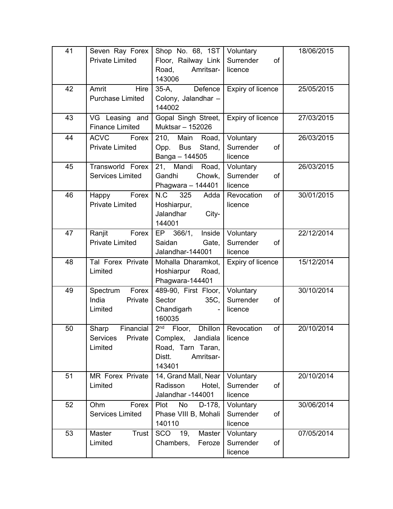| 41 | Seven Ray Forex<br><b>Private Limited</b>            | Shop No. 68, 1ST<br>Floor, Railway Link<br>Road,<br>Amritsar-<br>143006                                                   | Voluntary<br>Surrender<br>of<br>licence | 18/06/2015 |
|----|------------------------------------------------------|---------------------------------------------------------------------------------------------------------------------------|-----------------------------------------|------------|
| 42 | Amrit<br>Hire<br><b>Purchase Limited</b>             | Defence<br>$35-A$ ,<br>Colony, Jalandhar -<br>144002                                                                      | Expiry of licence                       | 25/05/2015 |
| 43 | VG Leasing and<br><b>Finance Limited</b>             | Gopal Singh Street,<br>Muktsar - 152026                                                                                   | Expiry of licence                       | 27/03/2015 |
| 44 | <b>ACVC</b><br>Forex<br><b>Private Limited</b>       | 210,<br>Main<br>Road,<br><b>Bus</b><br>Opp.<br>Stand,<br>Banga - 144505                                                   | Voluntary<br>Surrender<br>of<br>licence | 26/03/2015 |
| 45 | Transworld Forex<br><b>Services Limited</b>          | 21, Mandi<br>Road,<br>Gandhi<br>Chowk,<br>Phagwara $-144401$                                                              | Voluntary<br>Surrender<br>of<br>licence | 26/03/2015 |
| 46 | Forex<br>Happy<br><b>Private Limited</b>             | N.C<br>325<br>Adda<br>Hoshiarpur,<br>Jalandhar<br>City-<br>144001                                                         | Revocation<br>of<br>licence             | 30/01/2015 |
| 47 | Ranjit<br>Forex<br><b>Private Limited</b>            | Inside<br>EP 366/1,<br>Saidan<br>Gate,<br>Jalandhar-144001                                                                | Voluntary<br>Surrender<br>of<br>licence | 22/12/2014 |
| 48 | Tal Forex Private<br>Limited                         | Mohalla Dharamkot,<br>Hoshiarpur<br>Road,<br>Phagwara-144401                                                              | Expiry of licence                       | 15/12/2014 |
| 49 | Forex<br>Spectrum<br>India<br>Private<br>Limited     | 489-90, First Floor,<br>Sector<br>35C,<br>Chandigarh<br>160035                                                            | Voluntary<br>Surrender<br>of<br>licence | 30/10/2014 |
| 50 | Sharp<br>Financial<br>Services<br>Private<br>Limited | 2 <sup>nd</sup><br><b>Dhillon</b><br>Floor,<br>Jandiala<br>Complex,<br>Road, Tarn Taran,<br>Distt.<br>Amritsar-<br>143401 | Revocation<br>of<br>licence             | 20/10/2014 |
| 51 | <b>MR Forex Private</b><br>Limited                   | 14, Grand Mall, Near<br>Radisson<br>Hotel,<br>Jalandhar -144001                                                           | Voluntary<br>Surrender<br>of<br>licence | 20/10/2014 |
| 52 | Forex<br>Ohm<br><b>Services Limited</b>              | Plot<br>No<br>D-178,<br>Phase VIII B, Mohali<br>140110                                                                    | Voluntary<br>Surrender<br>of<br>licence | 30/06/2014 |
| 53 | Master<br>Trust<br>Limited                           | SCO<br>19,<br>Master<br>Chambers,<br>Feroze                                                                               | Voluntary<br>Surrender<br>of<br>licence | 07/05/2014 |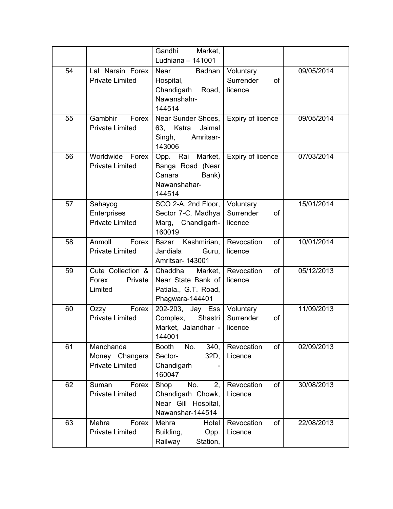|    |                                                       | Gandhi<br>Market,<br>Ludhiana - 141001                                              |                                         |            |
|----|-------------------------------------------------------|-------------------------------------------------------------------------------------|-----------------------------------------|------------|
| 54 | Lal Narain Forex<br><b>Private Limited</b>            | Badhan<br>Near<br>Hospital,<br>Chandigarh Road,<br>Nawanshahr-<br>144514            | Voluntary<br>Surrender<br>of<br>licence | 09/05/2014 |
| 55 | Gambhir<br>Forex<br><b>Private Limited</b>            | Near Sunder Shoes,<br>63,<br>Katra<br>Jaimal<br>Singh,<br>Amritsar-<br>143006       | Expiry of licence                       | 09/05/2014 |
| 56 | Worldwide<br>Forex<br><b>Private Limited</b>          | Opp. Rai Market,<br>Banga Road (Near<br>Canara<br>Bank)<br>Nawanshahar-<br>144514   | <b>Expiry of licence</b>                | 07/03/2014 |
| 57 | Sahayog<br>Enterprises<br><b>Private Limited</b>      | SCO 2-A, 2nd Floor,<br>Sector 7-C, Madhya<br>Marg, Chandigarh-<br>160019            | Voluntary<br>Surrender<br>of<br>licence | 15/01/2014 |
| 58 | Anmoll<br>Forex<br><b>Private Limited</b>             | Bazar Kashmirian,<br>Jandiala<br>Guru,<br>Amritsar- 143001                          | Revocation<br>of<br>licence             | 10/01/2014 |
| 59 | Cute Collection &<br>Forex<br>Private<br>Limited      | Chaddha<br>Market,<br>Near State Bank of<br>Patiala., G.T. Road,<br>Phagwara-144401 | Revocation<br>of<br>licence             | 05/12/2013 |
| 60 | Forex<br>Ozzy<br><b>Private Limited</b>               | 202-203, Jay Ess<br>Complex,<br>Shastri<br>Market, Jalandhar -<br>144001            | Voluntary<br>Surrender<br>of<br>licence | 11/09/2013 |
| 61 | Manchanda<br>Money Changers<br><b>Private Limited</b> | <b>Booth</b><br>No.<br>340,<br>Sector-<br>32D,<br>Chandigarh<br>160047              | of<br>Revocation<br>Licence             | 02/09/2013 |
| 62 | Suman<br>Forex<br><b>Private Limited</b>              | No.<br>Shop<br>2,<br>Chandigarh Chowk,<br>Near Gill Hospital,<br>Nawanshar-144514   | Revocation<br>of<br>Licence             | 30/08/2013 |
| 63 | Mehra<br>Forex<br><b>Private Limited</b>              | Mehra<br>Hotel<br>Building,<br>Opp.<br>Railway<br>Station,                          | Revocation<br>of<br>Licence             | 22/08/2013 |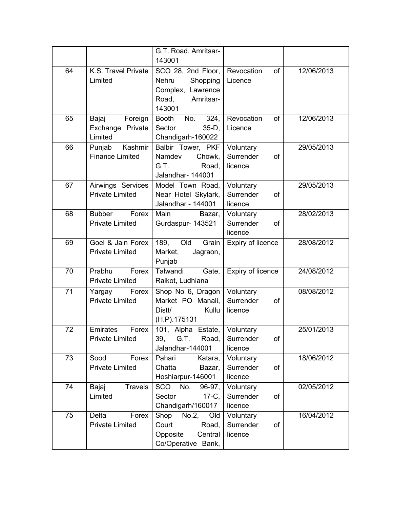|    |                                                  | G.T. Road, Amritsar-<br>143001                                                                      |                                         |            |
|----|--------------------------------------------------|-----------------------------------------------------------------------------------------------------|-----------------------------------------|------------|
| 64 | K.S. Travel Private<br>Limited                   | SCO 28, 2nd Floor,<br><b>Nehru</b><br>Shopping<br>Complex, Lawrence<br>Road,<br>Amritsar-<br>143001 | Revocation<br>of<br>Licence             | 12/06/2013 |
| 65 | Foreign<br>Bajaj<br>Exchange Private<br>Limited  | <b>Booth</b><br>No.<br>324,<br>Sector<br>$35-D$ ,<br>Chandigarh-160022                              | Revocation<br>of<br>Licence             | 12/06/2013 |
| 66 | Punjab<br>Kashmir<br><b>Finance Limited</b>      | Balbir Tower, PKF<br>Namdev<br>Chowk,<br>G.T.<br>Road,<br>Jalandhar- 144001                         | Voluntary<br>Surrender<br>of<br>licence | 29/05/2013 |
| 67 | Airwings Services<br><b>Private Limited</b>      | Model Town Road,<br>Near Hotel Skylark,<br>Jalandhar - 144001                                       | Voluntary<br>Surrender<br>of<br>licence | 29/05/2013 |
| 68 | <b>Bubber</b><br>Forex<br><b>Private Limited</b> | Main<br>Bazar,<br>Gurdaspur- 143521                                                                 | Voluntary<br>Surrender<br>of<br>licence | 28/02/2013 |
| 69 | Goel & Jain Forex<br><b>Private Limited</b>      | Old<br>189,<br>Grain<br>Market,<br>Jagraon,<br>Punjab                                               | Expiry of licence                       | 28/08/2012 |
| 70 | Prabhu<br>Forex<br><b>Private Limited</b>        | Talwandi<br>Gate,<br>Raikot, Ludhiana                                                               | Expiry of licence                       | 24/08/2012 |
| 71 | Forex<br>Yargay<br><b>Private Limited</b>        | Shop No 6, Dragon<br>Market PO Manali,<br>Distt/<br>Kullu<br>(H.P).175131                           | Voluntary<br>Surrender<br>of<br>licence | 08/08/2012 |
| 72 | Emirates<br>Forex<br><b>Private Limited</b>      | 101, Alpha Estate,<br>39,<br>G.T. Road,<br>Jalandhar-144001                                         | Voluntary<br>Surrender<br>of<br>licence | 25/01/2013 |
| 73 | Sood<br>Forex<br><b>Private Limited</b>          | Pahari<br>Katara,<br>Chatta<br>Bazar,<br>Hoshiarpur-146001                                          | Voluntary<br>Surrender<br>of<br>licence | 18/06/2012 |
| 74 | <b>Travels</b><br>Bajaj<br>Limited               | SCO No.<br>96-97,<br>Sector<br>$17-C$ ,<br>Chandigarh/160017                                        | Voluntary<br>Surrender<br>of<br>licence | 02/05/2012 |
| 75 | Delta<br>Forex<br><b>Private Limited</b>         | Shop<br>No.2,<br>Old<br>Court<br>Road,<br>Opposite<br>Central<br>Co/Operative Bank,                 | Voluntary<br>Surrender<br>of<br>licence | 16/04/2012 |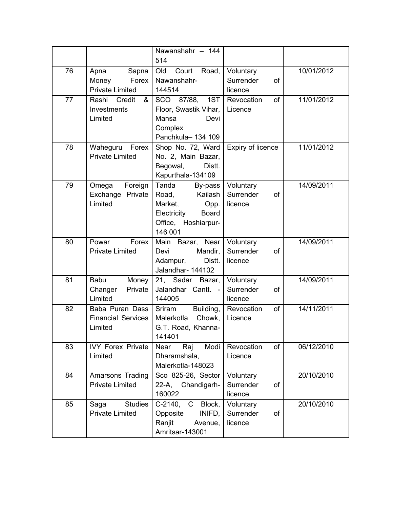|    |                                                           | Nawanshahr - 144<br>514                                                                                                  |                                         |            |
|----|-----------------------------------------------------------|--------------------------------------------------------------------------------------------------------------------------|-----------------------------------------|------------|
| 76 | Sapna<br>Apna<br>Forex<br>Money<br><b>Private Limited</b> | Court Road,<br>Old<br>Nawanshahr-<br>144514                                                                              | Voluntary<br>Surrender<br>of<br>licence | 10/01/2012 |
| 77 | Rashi<br>Credit<br>&<br>Investments<br>Limited            | SCO 87/88, 1ST<br>Floor, Swastik Vihar,<br>Mansa<br>Devi<br>Complex<br>Panchkula-134 109                                 | of<br>Revocation<br>Licence             | 11/01/2012 |
| 78 | Waheguru<br>Forex<br><b>Private Limited</b>               | Shop No. 72, Ward<br>No. 2, Main Bazar,<br>Begowal,<br>Distt.<br>Kapurthala-134109                                       | <b>Expiry of licence</b>                | 11/01/2012 |
| 79 | Foreign<br>Omega<br>Exchange Private<br>Limited           | Tanda<br>By-pass<br>Road,<br>Kailash<br>Market,<br>Opp.<br>Electricity<br><b>Board</b><br>Office, Hoshiarpur-<br>146 001 | Voluntary<br>Surrender<br>of<br>licence | 14/09/2011 |
| 80 | Forex<br>Powar<br><b>Private Limited</b>                  | Main<br>Bazar, Near<br>Mandir,<br>Devi<br>Adampur,<br>Distt.<br>Jalandhar- 144102                                        | Voluntary<br>Surrender<br>of<br>licence | 14/09/2011 |
| 81 | <b>Babu</b><br>Money<br>Private<br>Changer<br>Limited     | 21, Sadar Bazar,<br>Jalandhar Cantt. -<br>144005                                                                         | Voluntary<br>Surrender<br>of<br>licence | 14/09/2011 |
| 82 | Baba Puran Dass<br><b>Financial Services</b><br>Limited   | Building,<br>Sriram<br>Chowk,<br>Malerkotla<br>G.T. Road, Khanna-<br>141401                                              | of<br>Revocation<br>Licence             | 14/11/2011 |
| 83 | <b>IVY Forex Private</b><br>Limited                       | Near<br>Modi<br>Raj<br>Dharamshala,<br>Malerkotla-148023                                                                 | of<br>Revocation<br>Licence             | 06/12/2010 |
| 84 | Amarsons Trading<br><b>Private Limited</b>                | Sco 825-26, Sector<br>22-A,<br>Chandigarh-<br>160022                                                                     | Voluntary<br>Surrender<br>of<br>licence | 20/10/2010 |
| 85 | <b>Studies</b><br>Saga<br><b>Private Limited</b>          | C-2140, C<br>Block,<br>INIFD,<br>Opposite<br>Ranjit<br>Avenue,<br>Amritsar-143001                                        | Voluntary<br>Surrender<br>of<br>licence | 20/10/2010 |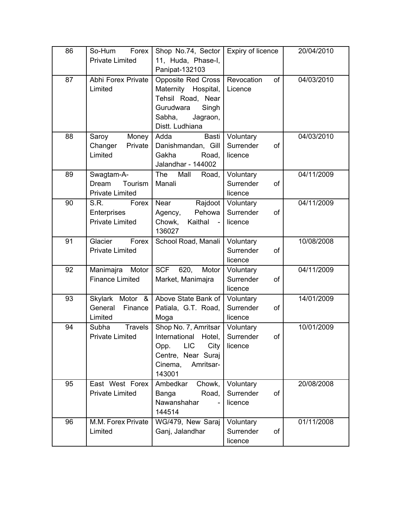| 86 | So-Hum<br>Forex                     | Shop No.74, Sector                   | Expiry of licence            | 20/04/2010 |
|----|-------------------------------------|--------------------------------------|------------------------------|------------|
|    | <b>Private Limited</b>              | 11, Huda, Phase-I,<br>Panipat-132103 |                              |            |
| 87 | Abhi Forex Private                  | <b>Opposite Red Cross</b>            | Revocation<br>of             | 04/03/2010 |
|    | Limited                             | Maternity Hospital,                  | Licence                      |            |
|    |                                     | Tehsil Road, Near                    |                              |            |
|    |                                     | Singh<br>Gurudwara                   |                              |            |
|    |                                     | Sabha,<br>Jagraon,                   |                              |            |
|    |                                     | Distt. Ludhiana                      |                              |            |
| 88 | Money<br>Saroy                      | Basti<br>Adda                        | Voluntary                    | 04/03/2010 |
|    | Private<br>Changer                  | Danishmandan, Gill                   | Surrender<br>of              |            |
|    | Limited                             | Gakha<br>Road,<br>Jalandhar - 144002 | licence                      |            |
| 89 | Swagtam-A-                          | The<br>Mall<br>Road,                 | Voluntary                    | 04/11/2009 |
|    | Tourism<br>Dream                    | Manali                               | Surrender<br>of              |            |
|    | <b>Private Limited</b>              |                                      | licence                      |            |
| 90 | S.R.<br>Forex                       | Near<br>Rajdoot                      | Voluntary                    | 04/11/2009 |
|    | Enterprises                         | Pehowa<br>Agency,                    | Surrender<br>of              |            |
|    | <b>Private Limited</b>              | Chowk,<br>Kaithal<br>$\sim$          | licence                      |            |
|    |                                     | 136027                               |                              |            |
| 91 | Glacier<br>Forex                    | School Road, Manali                  | Voluntary                    | 10/08/2008 |
|    | <b>Private Limited</b>              |                                      | Surrender<br>of              |            |
| 92 | Motor                               | <b>SCF</b><br>620,<br>Motor          | licence                      | 04/11/2009 |
|    | Manimajra<br><b>Finance Limited</b> | Market, Manimajra                    | Voluntary<br>Surrender<br>of |            |
|    |                                     |                                      | licence                      |            |
| 93 | <b>Skylark</b><br>Motor &           | Above State Bank of                  | Voluntary                    | 14/01/2009 |
|    | General<br>Finance                  | Patiala, G.T. Road,                  | Surrender<br>of              |            |
|    | Limited                             | Moga                                 | licence                      |            |
| 94 | <b>Travels</b><br>Subha             | Shop No. 7, Amritsar                 | Voluntary                    | 10/01/2009 |
|    | <b>Private Limited</b>              | International<br>Hotel,              | Surrender<br>of              |            |
|    |                                     | <b>LIC</b><br>City<br>Opp.           | licence                      |            |
|    |                                     | Centre, Near Suraj                   |                              |            |
|    |                                     | Cinema,<br>Amritsar-                 |                              |            |
| 95 | East West Forex                     | 143001<br>Ambedkar<br>Chowk,         |                              | 20/08/2008 |
|    | <b>Private Limited</b>              | Road,<br>Banga                       | Voluntary<br>Surrender<br>of |            |
|    |                                     | Nawanshahar                          | licence                      |            |
|    |                                     | 144514                               |                              |            |
| 96 | M.M. Forex Private                  | WG/479, New Saraj                    | Voluntary                    | 01/11/2008 |
|    | Limited                             | Ganj, Jalandhar                      | Surrender<br>of              |            |
|    |                                     |                                      | licence                      |            |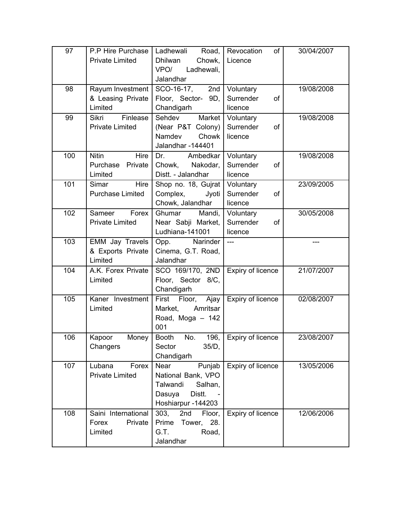| 97  | P.P Hire Purchase<br><b>Private Limited</b>                        | Ladhewali<br>Road,<br><b>Dhilwan</b><br>Chowk,<br>VPO/<br>Ladhewali,<br>Jalandhar                     | of<br>Revocation<br>Licence             | 30/04/2007 |
|-----|--------------------------------------------------------------------|-------------------------------------------------------------------------------------------------------|-----------------------------------------|------------|
| 98  | Rayum Investment<br>& Leasing Private<br>Limited                   | SCO-16-17, 2nd<br>Floor, Sector- 9D,<br>Chandigarh                                                    | Voluntary<br>Surrender<br>of<br>licence | 19/08/2008 |
| 99  | $\overline{\mathsf{Fin}}$ lease<br>Sikri<br><b>Private Limited</b> | Sehdev<br>Market<br>(Near P&T Colony)<br>Chowk<br>Namdev<br>Jalandhar-144401                          | Voluntary<br>Surrender<br>of<br>licence | 19/08/2008 |
| 100 | <b>Nitin</b><br>Hire<br>Purchase Private<br>Limited                | Ambedkar<br>Dr.<br>Chowk, Nakodar,<br>Distt. - Jalandhar                                              | Voluntary<br>Surrender<br>of<br>licence | 19/08/2008 |
| 101 | Hire<br>Simar<br><b>Purchase Limited</b>                           | Shop no. 18, Gujrat<br>Complex,<br>Jyoti<br>Chowk, Jalandhar                                          | Voluntary<br>Surrender<br>of<br>licence | 23/09/2005 |
| 102 | Sameer<br>Forex<br><b>Private Limited</b>                          | Ghumar<br>Mandi,<br>Near Sabji Market,<br>Ludhiana-141001                                             | Voluntary<br>Surrender<br>of<br>licence | 30/05/2008 |
| 103 | <b>EMM Jay Travels</b><br>& Exports Private<br>Limited             | Narinder<br>Opp.<br>Cinema, G.T. Road,<br>Jalandhar                                                   | $\overline{a}$                          |            |
| 104 | A.K. Forex Private<br>Limited                                      | SCO 169/170, 2ND<br>Floor, Sector 8/C,<br>Chandigarh                                                  | <b>Expiry of licence</b>                | 21/07/2007 |
| 105 | Kaner Investment<br>Limited                                        | First Floor, Ajay<br>Market,<br>Amritsar<br>Road, Moga - 142<br>001                                   | Expiry of licence                       | 02/08/2007 |
| 106 | Kapoor<br>Money<br>Changers                                        | <b>Booth</b><br>No.<br>196,<br>Sector<br>$35/D$ ,<br>Chandigarh                                       | Expiry of licence                       | 23/08/2007 |
| 107 | Lubana<br>Forex<br><b>Private Limited</b>                          | Near<br>Punjab<br>National Bank, VPO<br>Talwandi<br>Salhan,<br>Distt.<br>Dasuya<br>Hoshiarpur -144203 | Expiry of licence                       | 13/05/2006 |
| 108 | Saini International<br>Forex<br>Private<br>Limited                 | 303,<br>2nd<br>Floor,<br>Prime<br>28.<br>Tower,<br>G.T.<br>Road,<br>Jalandhar                         | Expiry of licence                       | 12/06/2006 |